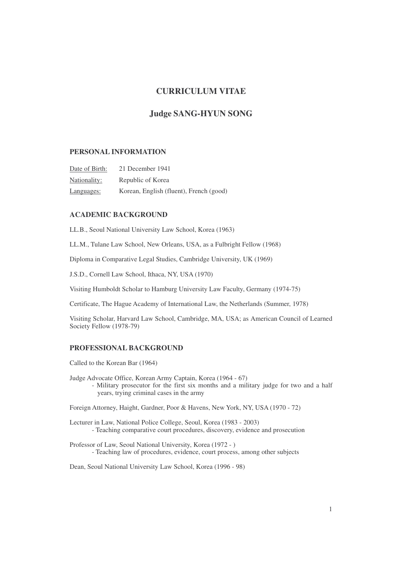# **CURRICULUM VITAE**

# **Judge SANG-HYUN SONG**

## **PERSONAL INFORMATION**

| Date of Birth: | 21 December 1941                        |
|----------------|-----------------------------------------|
| Nationality:   | Republic of Korea                       |
| Languages:     | Korean, English (fluent), French (good) |

# **ACADEMIC BACKGROUND**

LL.B., Seoul National University Law School, Korea (1963)

LL.M., Tulane Law School, New Orleans, USA, as a Fulbright Fellow (1968)

Diploma in Comparative Legal Studies, Cambridge University, UK (1969)

J.S.D., Cornell Law School, Ithaca, NY, USA (1970)

Visiting Humboldt Scholar to Hamburg University Law Faculty, Germany (1974-75)

Certificate, The Hague Academy of International Law, the Netherlands (Summer, 1978)

Visiting Scholar, Harvard Law School, Cambridge, MA, USA; as American Council of Learned Society Fellow (1978-79)

#### **PROFESSIONAL BACKGROUND**

Called to the Korean Bar (1964)

Judge Advocate Office, Korean Army Captain, Korea (1964 - 67) - Military prosecutor for the first six months and a military judge for two and a half years, trying criminal cases in the army

Foreign Attorney, Haight, Gardner, Poor & Havens, New York, NY, USA (1970 - 72)

Lecturer in Law, National Police College, Seoul, Korea (1983 - 2003) - Teaching comparative court procedures, discovery, evidence and prosecution

Professor of Law, Seoul National University, Korea (1972 - ) - Teaching law of procedures, evidence, court process, among other subjects

Dean, Seoul National University Law School, Korea (1996 - 98)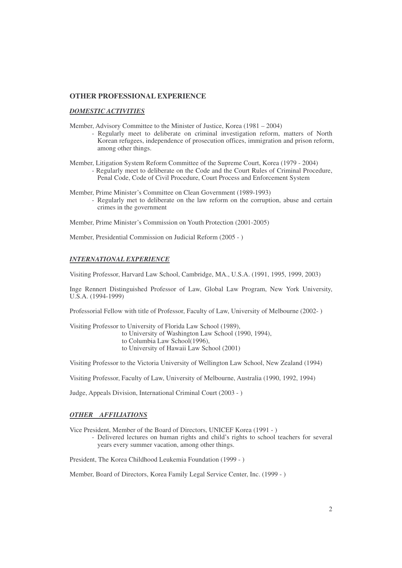### **OTHER PROFESSIONAL EXPERIENCE**

### *DOMESTIC ACTIVITIES*

- Member, Advisory Committee to the Minister of Justice, Korea (1981 2004)
	- Regularly meet to deliberate on criminal investigation reform, matters of North Korean refugees, independence of prosecution offices, immigration and prison reform, among other things.
- Member, Litigation System Reform Committee of the Supreme Court, Korea (1979 2004) - Regularly meet to deliberate on the Code and the Court Rules of Criminal Procedure, Penal Code, Code of Civil Procedure, Court Process and Enforcement System
- Member, Prime Minister's Committee on Clean Government (1989-1993) - Regularly met to deliberate on the law reform on the corruption, abuse and certain crimes in the government

Member, Prime Minister's Commission on Youth Protection (2001-2005)

Member, Presidential Commission on Judicial Reform (2005 - )

#### *INTERNATIONAL EXPERIENCE*

Visiting Professor, Harvard Law School, Cambridge, MA., U.S.A. (1991, 1995, 1999, 2003)

Inge Rennert Distinguished Professor of Law, Global Law Program, New York University, U.S.A. (1994-1999)

Professorial Fellow with title of Professor, Faculty of Law, University of Melbourne (2002- )

Visiting Professor to University of Florida Law School (1989),

- to University of Washington Law School (1990, 1994),
- to Columbia Law School(1996),
- to University of Hawaii Law School (2001)

Visiting Professor to the Victoria University of Wellington Law School, New Zealand (1994)

Visiting Professor, Faculty of Law, University of Melbourne, Australia (1990, 1992, 1994)

Judge, Appeals Division, International Criminal Court (2003 - )

#### *OTHER AFFILIATIONS*

Vice President, Member of the Board of Directors, UNICEF Korea (1991 - )

- Delivered lectures on human rights and child's rights to school teachers for several years every summer vacation, among other things.

President, The Korea Childhood Leukemia Foundation (1999 - )

Member, Board of Directors, Korea Family Legal Service Center, Inc. (1999 - )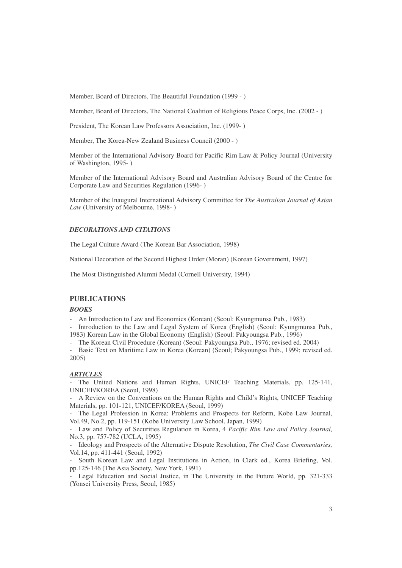Member, Board of Directors, The Beautiful Foundation (1999 - )

Member, Board of Directors, The National Coalition of Religious Peace Corps, Inc. (2002 - )

President, The Korean Law Professors Association, Inc. (1999- )

Member, The Korea-New Zealand Business Council (2000 - )

Member of the International Advisory Board for Pacific Rim Law & Policy Journal (University of Washington, 1995- )

Member of the International Advisory Board and Australian Advisory Board of the Centre for Corporate Law and Securities Regulation (1996- )

Member of the Inaugural International Advisory Committee for *The Australian Journal of Asian Law* (University of Melbourne, 1998- )

#### *DECORATIONS AND CITATIONS*

The Legal Culture Award (The Korean Bar Association, 1998)

National Decoration of the Second Highest Order (Moran) (Korean Government, 1997)

The Most Distinguished Alumni Medal (Cornell University, 1994)

## **PUBLICATIONS**

#### *BOOKS*

- An Introduction to Law and Economics (Korean) (Seoul: Kyungmunsa Pub., 1983)

- Introduction to the Law and Legal System of Korea (English) (Seoul: Kyungmunsa Pub., 1983) Korean Law in the Global Economy (English) (Seoul: Pakyoungsa Pub., 1996)

- The Korean Civil Procedure (Korean) (Seoul: Pakyoungsa Pub., 1976; revised ed. 2004)

- Basic Text on Maritime Law in Korea (Korean) (Seoul; Pakyoungsa Pub., 1999; revised ed. 2005)

## *ARTICLES*

- The United Nations and Human Rights, UNICEF Teaching Materials, pp. 125-141, UNICEF/KOREA (Seoul, 1998)

- A Review on the Conventions on the Human Rights and Child's Rights, UNICEF Teaching Materials, pp. 101-121, UNICEF/KOREA (Seoul, 1999)

The Legal Profession in Korea: Problems and Prospects for Reform, Kobe Law Journal, Vol.49, No.2, pp. 119-151 (Kobe University Law School, Japan, 1999)

- Law and Policy of Securities Regulation in Korea, 4 *Pacific Rim Law and Policy Journal,* No.3, pp. 757-782 (UCLA, 1995)

- Ideology and Prospects of the Alternative Dispute Resolution, *The Civil Case Commentaries,* Vol.14, pp. 411-441 (Seoul, 1992)

South Korean Law and Legal Institutions in Action, in Clark ed., Korea Briefing, Vol. pp.125-146 (The Asia Society, New York, 1991)

Legal Education and Social Justice, in The University in the Future World, pp. 321-333 (Yonsei University Press, Seoul, 1985)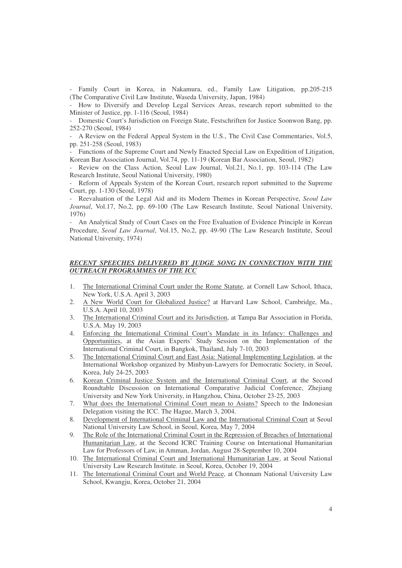- Family Court in Korea, in Nakamura, ed., Family Law Litigation, pp.205-215 (The Comparative Civil Law Institute, Waseda University, Japan, 1984)

- How to Diversify and Develop Legal Services Areas, research report submitted to the Minister of Justice, pp. 1-116 (Seoul, 1984)

- Domestic Court's Jurisdiction on Foreign State, Festschriften for Justice Soonwon Bang, pp. 252-270 (Seoul, 1984)

- A Review on the Federal Appeal System in the U.S., The Civil Case Commentaries, Vol.5, pp. 251-258 (Seoul, 1983)

- Functions of the Supreme Court and Newly Enacted Special Law on Expedition of Litigation, Korean Bar Association Journal, Vol.74, pp. 11-19 (Korean Bar Association, Seoul, 1982)

Review on the Class Action, Seoul Law Journal, Vol.21, No.1, pp. 103-114 (The Law Research Institute, Seoul National University, 1980)

- Reform of Appeals System of the Korean Court, research report submitted to the Supreme Court, pp. 1-130 (Seoul, 1978)

- Reevaluation of the Legal Aid and its Modern Themes in Korean Perspective, *Seoul Law Journal*, Vol.17, No.2, pp. 69-100 (The Law Research Institute, Seoul National University, 1976)

- An Analytical Study of Court Cases on the Free Evaluation of Evidence Principle in Korean Procedure, *Seoul Law Journal*, Vol.15, No.2, pp. 49-90 (The Law Research Institute, Seoul National University, 1974)

## *RECENT SPEECHES DELIVERED BY JUDGE SONG IN CONNECTION WITH THE OUTREACH PROGRAMMES OF THE ICC*

- 1. The International Criminal Court under the Rome Statute, at Cornell Law School, Ithaca, New York, U.S.A. April 3, 2003
- 2. A New World Court for Globalized Justice? at Harvard Law School, Cambridge, Ma., U.S.A. April 10, 2003
- 3. The International Criminal Court and its Jurisdiction, at Tampa Bar Association in Florida, U.S.A. May 19, 2003
- 4. Enforcing the International Criminal Court's Mandate in its Infancy: Challenges and Opportunities, at the Asian Experts' Study Session on the Implementation of the International Criminal Court, in Bangkok, Thailand, July 7-10, 2003
- 5. The International Criminal Court and East Asia: National Implementing Legislation, at the International Workshop organized by Minbyun-Lawyers for Democratic Society, in Seoul, Korea, July 24-25, 2003
- 6. Korean Criminal Justice System and the International Criminal Court, at the Second Roundtable Discussion on International Comparative Judicial Conference, Zhejiang University and New York University, in Hangzhou, China, October 23-25, 2003
- 7. What does the International Criminal Court mean to Asians? Speech to the Indonesian Delegation visiting the ICC. The Hague, March 3, 2004.
- 8. Development of International Criminal Law and the International Criminal Court at Seoul National University Law School, in Seoul, Korea, May 7, 2004
- 9. The Role of the International Criminal Court in the Repression of Breaches of International Humanitarian Law, at the Second ICRC Training Course on International Humanitarian Law for Professors of Law, in Amman, Jordan, August 28-September 10, 2004
- 10. The International Criminal Court and International Humanitarian Law, at Seoul National University Law Research Institute. in Seoul, Korea, October 19, 2004
- 11. The International Criminal Court and World Peace, at Chonnam National University Law School, Kwangju, Korea, October 21, 2004